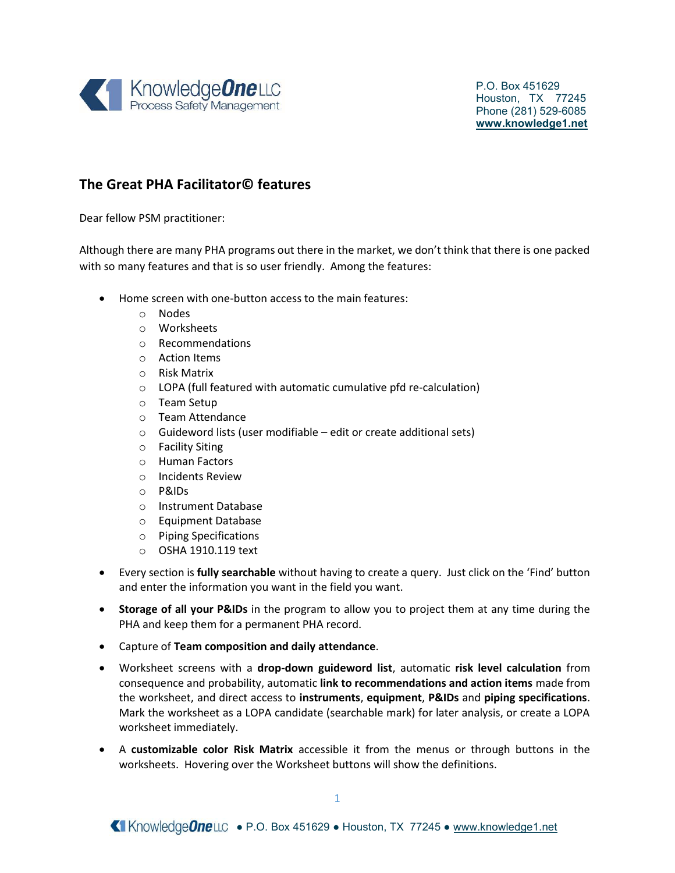

## The Great PHA Facilitator© features

Dear fellow PSM practitioner:

Although there are many PHA programs out there in the market, we don't think that there is one packed with so many features and that is so user friendly. Among the features:

- Home screen with one-button access to the main features:
	- o Nodes
	- o Worksheets
	- o Recommendations
	- o Action Items
	- o Risk Matrix
	- o LOPA (full featured with automatic cumulative pfd re-calculation)
	- o Team Setup
	- o Team Attendance
	- $\circ$  Guideword lists (user modifiable edit or create additional sets)
	- o Facility Siting
	- o Human Factors
	- o Incidents Review
	- o P&IDs
	- o Instrument Database
	- o Equipment Database
	- o Piping Specifications
	- o OSHA 1910.119 text
- Every section is fully searchable without having to create a query. Just click on the 'Find' button and enter the information you want in the field you want.
- Storage of all your P&IDs in the program to allow you to project them at any time during the PHA and keep them for a permanent PHA record.
- Capture of Team composition and daily attendance.
- Worksheet screens with a drop-down guideword list, automatic risk level calculation from consequence and probability, automatic link to recommendations and action items made from the worksheet, and direct access to instruments, equipment, P&IDs and piping specifications. Mark the worksheet as a LOPA candidate (searchable mark) for later analysis, or create a LOPA worksheet immediately.
- A customizable color Risk Matrix accessible it from the menus or through buttons in the worksheets. Hovering over the Worksheet buttons will show the definitions.